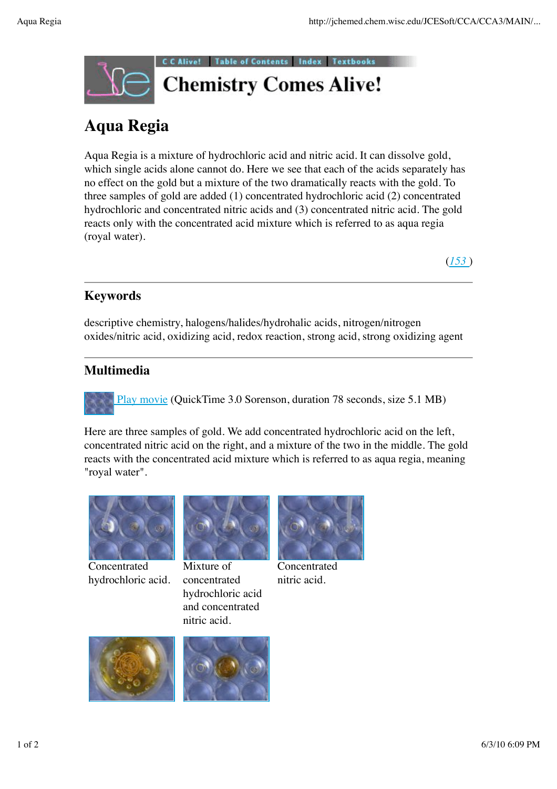

# **Aqua Regia**

Aqua Regia is a mixture of hydrochloric acid and nitric acid. It can dissolve gold, which single acids alone cannot do. Here we see that each of the acids separately has no effect on the gold but a mixture of the two dramatically reacts with the gold. To three samples of gold are added (1) concentrated hydrochloric acid (2) concentrated hydrochloric and concentrated nitric acids and (3) concentrated nitric acid. The gold reacts only with the concentrated acid mixture which is referred to as aqua regia (royal water).

(*153* )

## **Keywords**

descriptive chemistry, halogens/halides/hydrohalic acids, nitrogen/nitrogen oxides/nitric acid, oxidizing acid, redox reaction, strong acid, strong oxidizing agent

## **Multimedia**

Play movie (QuickTime 3.0 Sorenson, duration 78 seconds, size 5.1 MB)

Here are three samples of gold. We add concentrated hydrochloric acid on the left, concentrated nitric acid on the right, and a mixture of the two in the middle. The gold reacts with the concentrated acid mixture which is referred to as aqua regia, meaning "royal water".



Concentrated hydrochloric acid.



Mixture of concentrated hydrochloric acid and concentrated nitric acid.



Concentrated nitric acid.